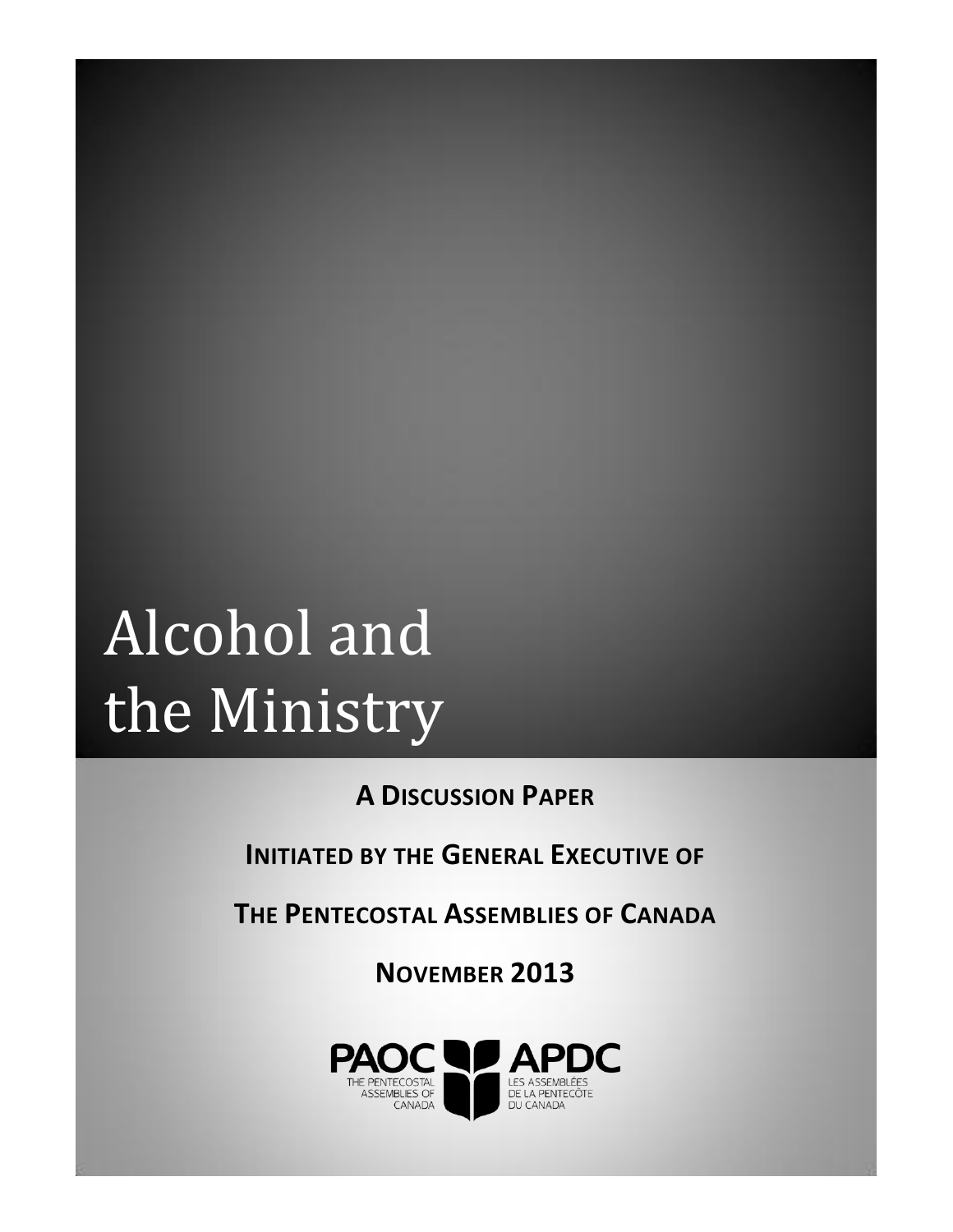# Alcohol and the Ministry

**A DISCUSSION PAPER**

**INITIATED BY THE GENERAL EXECUTIVE OF** 

**THE PENTECOSTAL ASSEMBLIES OF CANADA**

**NOVEMBER 2013**

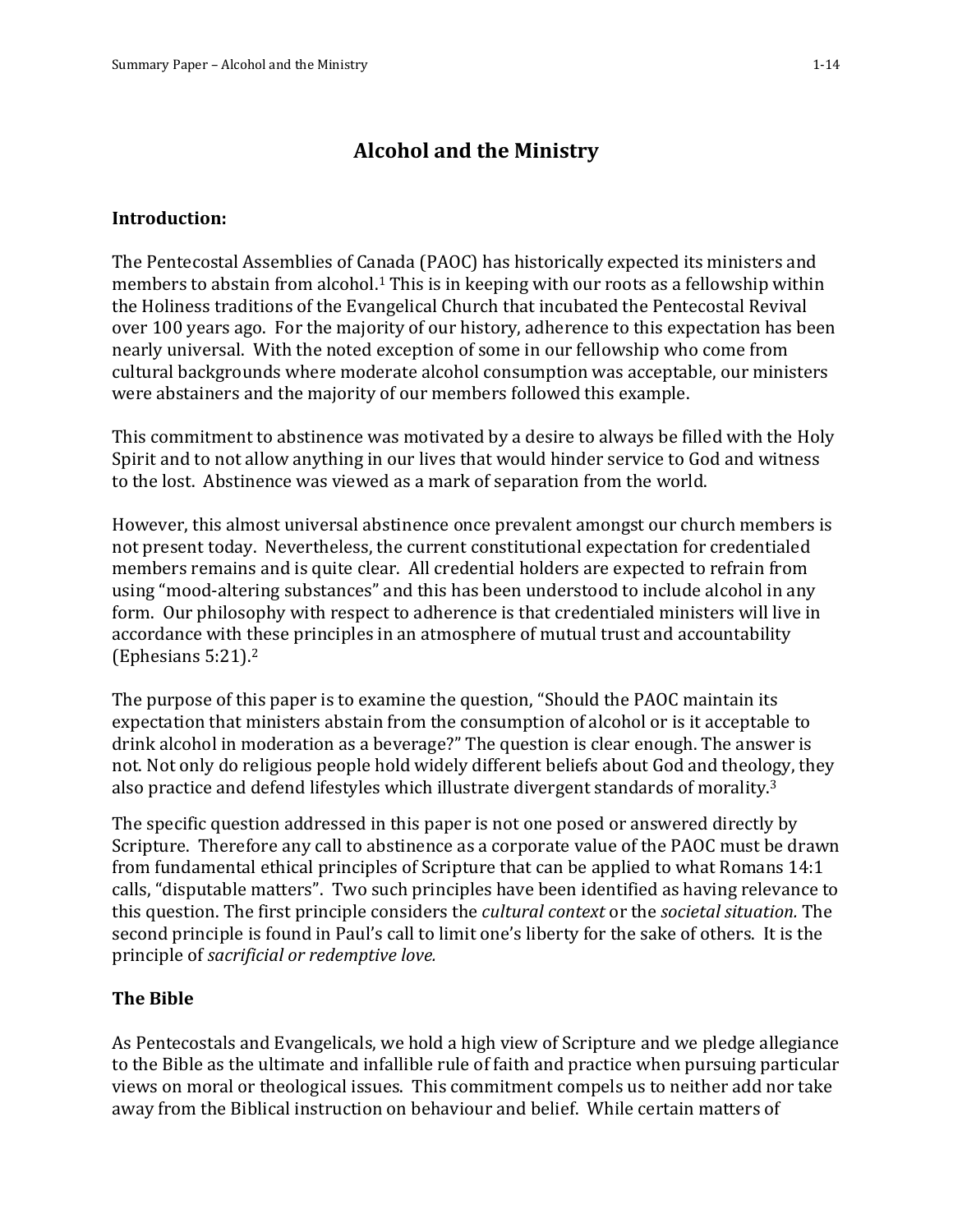## **Alcohol and the Ministry**

#### **Introduction:**

The Pentecostal Assemblies of Canada (PAOC) has historically expected its ministers and members to abstain from alcohol.<sup>1</sup> This is in keeping with our roots as a fellowship within the Holiness traditions of the Evangelical Church that incubated the Pentecostal Revival over 100 years ago. For the majority of our history, adherence to this expectation has been nearly universal. With the noted exception of some in our fellowship who come from cultural backgrounds where moderate alcohol consumption was acceptable, our ministers were abstainers and the majority of our members followed this example.

This commitment to abstinence was motivated by a desire to always be filled with the Holy Spirit and to not allow anything in our lives that would hinder service to God and witness to the lost. Abstinence was viewed as a mark of separation from the world.

However, this almost universal abstinence once prevalent amongst our church members is not present today. Nevertheless, the current constitutional expectation for credentialed members remains and is quite clear. All credential holders are expected to refrain from using "mood-altering substances" and this has been understood to include alcohol in any form. Our philosophy with respect to adherence is that credentialed ministers will live in accordance with these principles in an atmosphere of mutual trust and accountability (Ephesians 5:21). 2

The purpose of this paper is to examine the question, "Should the PAOC maintain its expectation that ministers abstain from the consumption of alcohol or is it acceptable to drink alcohol in moderation as a beverage?" The question is clear enough. The answer is not. Not only do religious people hold widely different beliefs about God and theology, they also practice and defend lifestyles which illustrate divergent standards of morality.3

The specific question addressed in this paper is not one posed or answered directly by Scripture. Therefore any call to abstinence as a corporate value of the PAOC must be drawn from fundamental ethical principles of Scripture that can be applied to what Romans 14:1 calls, "disputable matters". Two such principles have been identified as having relevance to this question. The first principle considers the *cultural context* or the *societal situation.* The second principle is found in Paul's call to limit one's liberty for the sake of others. It is the principle of *sacrificial or redemptive love.*

#### **The Bible**

As Pentecostals and Evangelicals, we hold a high view of Scripture and we pledge allegiance to the Bible as the ultimate and infallible rule of faith and practice when pursuing particular views on moral or theological issues. This commitment compels us to neither add nor take away from the Biblical instruction on behaviour and belief. While certain matters of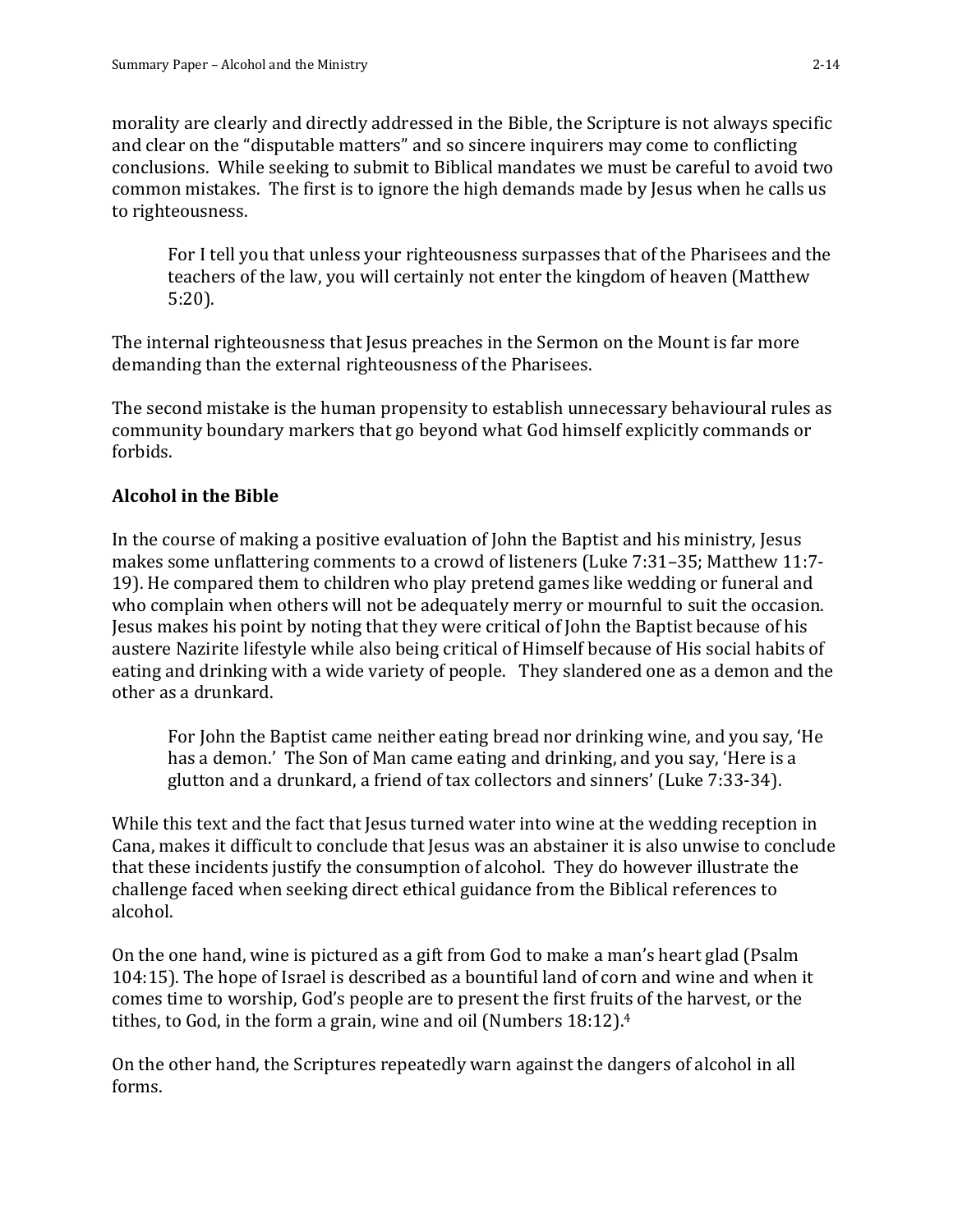morality are clearly and directly addressed in the Bible, the Scripture is not always specific and clear on the "disputable matters" and so sincere inquirers may come to conflicting conclusions. While seeking to submit to Biblical mandates we must be careful to avoid two common mistakes. The first is to ignore the high demands made by Jesus when he calls us to righteousness.

For I tell you that unless your righteousness surpasses that of the Pharisees and the teachers of the law, you will certainly not enter the kingdom of heaven (Matthew 5:20).

The internal righteousness that Jesus preaches in the Sermon on the Mount is far more demanding than the external righteousness of the Pharisees.

The second mistake is the human propensity to establish unnecessary behavioural rules as community boundary markers that go beyond what God himself explicitly commands or forbids.

## **Alcohol in the Bible**

In the course of making a positive evaluation of John the Baptist and his ministry, Jesus makes some unflattering comments to a crowd of listeners (Luke 7:31–35; Matthew 11:7- 19). He compared them to children who play pretend games like wedding or funeral and who complain when others will not be adequately merry or mournful to suit the occasion. Jesus makes his point by noting that they were critical of John the Baptist because of his austere Nazirite lifestyle while also being critical of Himself because of His social habits of eating and drinking with a wide variety of people. They slandered one as a demon and the other as a drunkard.

For John the Baptist came neither eating bread nor drinking wine, and you say, 'He has a demon.' The Son of Man came eating and drinking, and you say, 'Here is a glutton and a drunkard, a friend of tax collectors and sinners' (Luke 7:33-34).

While this text and the fact that Jesus turned water into wine at the wedding reception in Cana, makes it difficult to conclude that Jesus was an abstainer it is also unwise to conclude that these incidents justify the consumption of alcohol. They do however illustrate the challenge faced when seeking direct ethical guidance from the Biblical references to alcohol.

On the one hand, wine is pictured as a gift from God to make a man's heart glad (Psalm 104:15). The hope of Israel is described as a bountiful land of corn and wine and when it comes time to worship, God's people are to present the first fruits of the harvest, or the tithes, to God, in the form a grain, wine and oil (Numbers 18:12).<sup>4</sup>

On the other hand, the Scriptures repeatedly warn against the dangers of alcohol in all forms.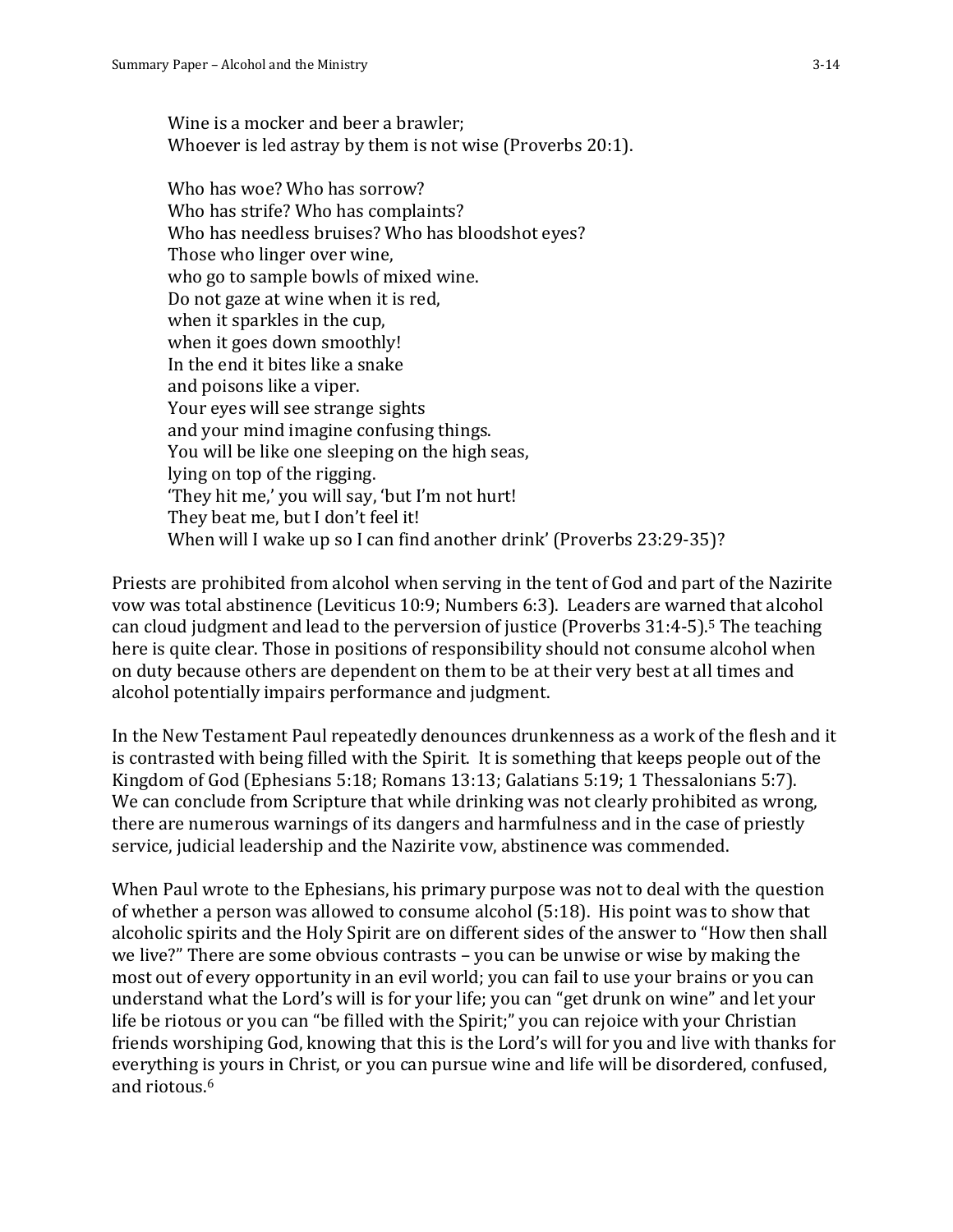Wine is a mocker and beer a brawler; Whoever is led astray by them is not wise (Proverbs 20:1).

Who has woe? Who has sorrow? Who has strife? Who has complaints? Who has needless bruises? Who has bloodshot eyes? Those who linger over wine, who go to sample bowls of mixed wine. Do not gaze at wine when it is red, when it sparkles in the cup, when it goes down smoothly! In the end it bites like a snake and poisons like a viper. Your eyes will see strange sights and your mind imagine confusing things. You will be like one sleeping on the high seas, lying on top of the rigging. 'They hit me,' you will say, 'but I'm not hurt! They beat me, but I don't feel it! When will I wake up so I can find another drink' (Proverbs 23:29-35)?

Priests are prohibited from alcohol when serving in the tent of God and part of the Nazirite vow was total abstinence (Leviticus 10:9; Numbers 6:3). Leaders are warned that alcohol can cloud judgment and lead to the perversion of justice (Proverbs 31:4-5). <sup>5</sup> The teaching here is quite clear. Those in positions of responsibility should not consume alcohol when on duty because others are dependent on them to be at their very best at all times and alcohol potentially impairs performance and judgment.

In the New Testament Paul repeatedly denounces drunkenness as a work of the flesh and it is contrasted with being filled with the Spirit. It is something that keeps people out of the Kingdom of God (Ephesians 5:18; Romans 13:13; Galatians 5:19; 1 Thessalonians 5:7). We can conclude from Scripture that while drinking was not clearly prohibited as wrong, there are numerous warnings of its dangers and harmfulness and in the case of priestly service, judicial leadership and the Nazirite vow, abstinence was commended.

When Paul wrote to the Ephesians, his primary purpose was not to deal with the question of whether a person was allowed to consume alcohol (5:18). His point was to show that alcoholic spirits and the Holy Spirit are on different sides of the answer to "How then shall we live?" There are some obvious contrasts – you can be unwise or wise by making the most out of every opportunity in an evil world; you can fail to use your brains or you can understand what the Lord's will is for your life; you can "get drunk on wine" and let your life be riotous or you can "be filled with the Spirit;" you can rejoice with your Christian friends worshiping God, knowing that this is the Lord's will for you and live with thanks for everything is yours in Christ, or you can pursue wine and life will be disordered, confused, and riotous.6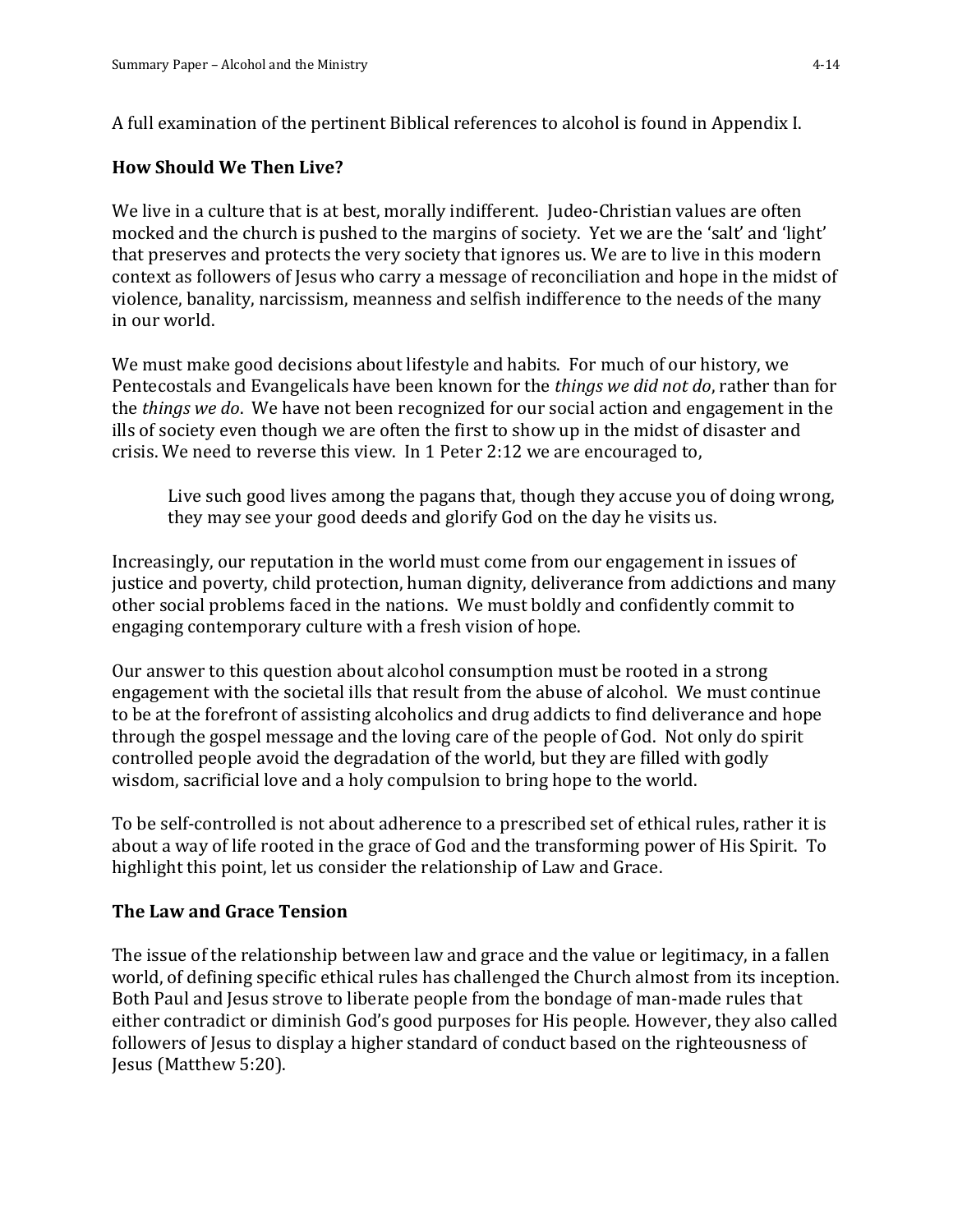A full examination of the pertinent Biblical references to alcohol is found in Appendix I.

## **How Should We Then Live?**

We live in a culture that is at best, morally indifferent. Judeo-Christian values are often mocked and the church is pushed to the margins of society. Yet we are the 'salt' and 'light' that preserves and protects the very society that ignores us. We are to live in this modern context as followers of Jesus who carry a message of reconciliation and hope in the midst of violence, banality, narcissism, meanness and selfish indifference to the needs of the many in our world.

We must make good decisions about lifestyle and habits. For much of our history, we Pentecostals and Evangelicals have been known for the *things we did not do*, rather than for the *things we do*. We have not been recognized for our social action and engagement in the ills of society even though we are often the first to show up in the midst of disaster and crisis. We need to reverse this view. In 1 Peter 2:12 we are encouraged to,

Live such good lives among the pagans that, though they accuse you of doing wrong, they may see your good deeds and glorify God on the day he visits us.

Increasingly, our reputation in the world must come from our engagement in issues of justice and poverty, child protection, human dignity, deliverance from addictions and many other social problems faced in the nations. We must boldly and confidently commit to engaging contemporary culture with a fresh vision of hope.

Our answer to this question about alcohol consumption must be rooted in a strong engagement with the societal ills that result from the abuse of alcohol. We must continue to be at the forefront of assisting alcoholics and drug addicts to find deliverance and hope through the gospel message and the loving care of the people of God. Not only do spirit controlled people avoid the degradation of the world, but they are filled with godly wisdom, sacrificial love and a holy compulsion to bring hope to the world.

To be self-controlled is not about adherence to a prescribed set of ethical rules, rather it is about a way of life rooted in the grace of God and the transforming power of His Spirit. To highlight this point, let us consider the relationship of Law and Grace. Î

## **The Law and Grace Tension**

The issue of the relationship between law and grace and the value or legitimacy, in a fallen world, of defining specific ethical rules has challenged the Church almost from its inception. Both Paul and Jesus strove to liberate people from the bondage of man-made rules that either contradict or diminish God's good purposes for His people. However, they also called followers of Jesus to display a higher standard of conduct based on the righteousness of Jesus (Matthew 5:20).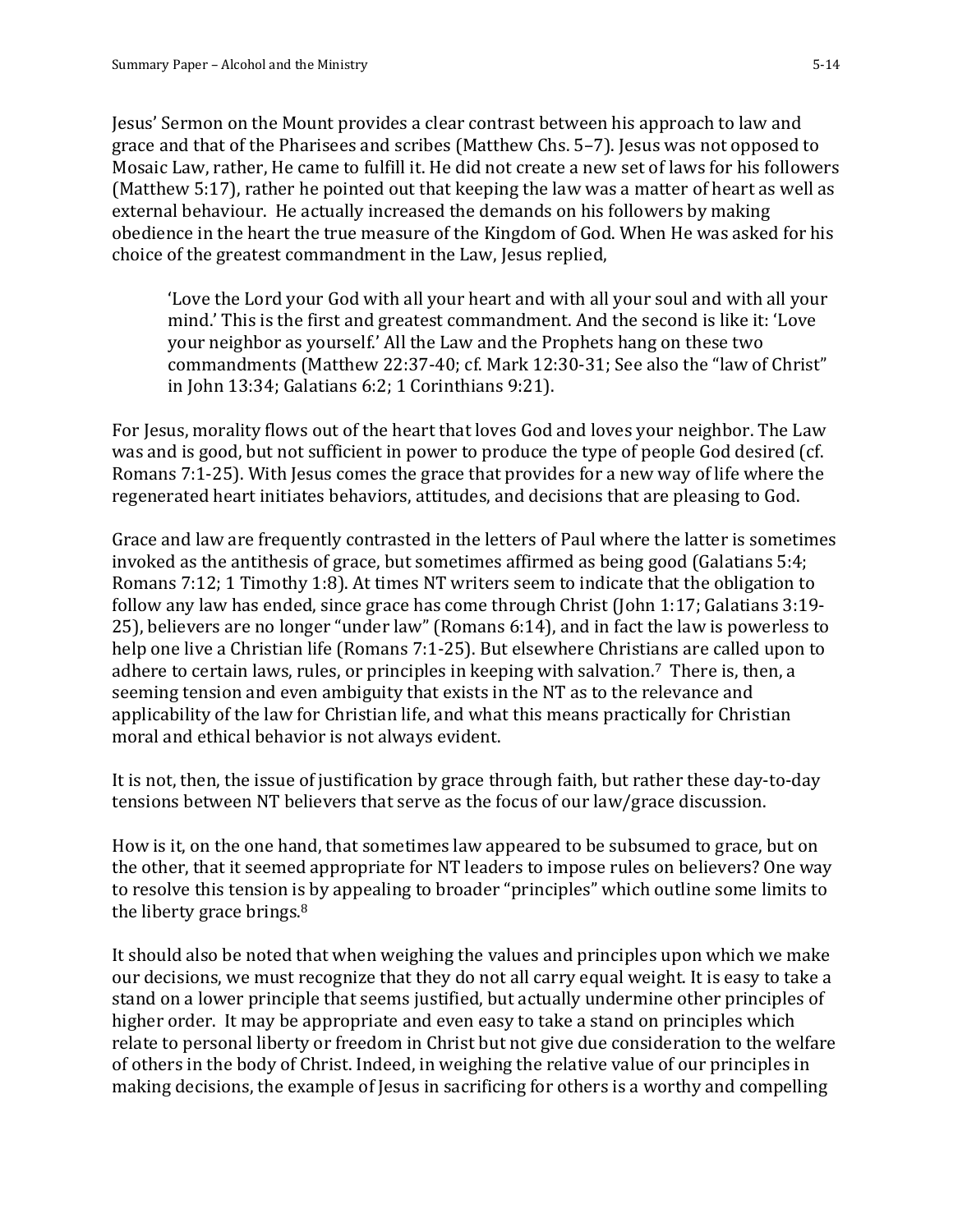Jesus' Sermon on the Mount provides a clear contrast between his approach to law and grace and that of the Pharisees and scribes (Matthew Chs. 5–7). Jesus was not opposed to Mosaic Law, rather, He came to fulfill it. He did not create a new set of laws for his followers (Matthew 5:17), rather he pointed out that keeping the law was a matter of heart as well as external behaviour. He actually increased the demands on his followers by making obedience in the heart the true measure of the Kingdom of God. When He was asked for his choice of the greatest commandment in the Law, Jesus replied,

'Love the Lord your God with all your heart and with all your soul and with all your mind.' This is the first and greatest commandment. And the second is like it: 'Love your neighbor as yourself.' All the Law and the Prophets hang on these two commandments (Matthew 22:37-40; cf. Mark 12:30-31; See also the "law of Christ" in John 13:34; Galatians 6:2; 1 Corinthians 9:21).

For Jesus, morality flows out of the heart that loves God and loves your neighbor. The Law was and is good, but not sufficient in power to produce the type of people God desired (cf. Romans 7:1-25). With Jesus comes the grace that provides for a new way of life where the regenerated heart initiates behaviors, attitudes, and decisions that are pleasing to God.

Grace and law are frequently contrasted in the letters of Paul where the latter is sometimes invoked as the antithesis of grace, but sometimes affirmed as being good (Galatians 5:4; Romans 7:12; 1 Timothy 1:8). At times NT writers seem to indicate that the obligation to follow any law has ended, since grace has come through Christ (John 1:17; Galatians 3:19- 25), believers are no longer "under law" (Romans 6:14), and in fact the law is powerless to help one live a Christian life (Romans 7:1-25). But elsewhere Christians are called upon to adhere to certain laws, rules, or principles in keeping with salvation.<sup>7</sup> There is, then, a seeming tension and even ambiguity that exists in the NT as to the relevance and applicability of the law for Christian life, and what this means practically for Christian moral and ethical behavior is not always evident.

It is not, then, the issue of justification by grace through faith, but rather these day-to-day tensions between NT believers that serve as the focus of our law/grace discussion.

How is it, on the one hand, that sometimes law appeared to be subsumed to grace, but on the other, that it seemed appropriate for NT leaders to impose rules on believers? One way to resolve this tension is by appealing to broader "principles" which outline some limits to the liberty grace brings.<sup>8</sup>

It should also be noted that when weighing the values and principles upon which we make our decisions, we must recognize that they do not all carry equal weight. It is easy to take a stand on a lower principle that seems justified, but actually undermine other principles of higher order. It may be appropriate and even easy to take a stand on principles which relate to personal liberty or freedom in Christ but not give due consideration to the welfare of others in the body of Christ. Indeed, in weighing the relative value of our principles in making decisions, the example of Jesus in sacrificing for others is a worthy and compelling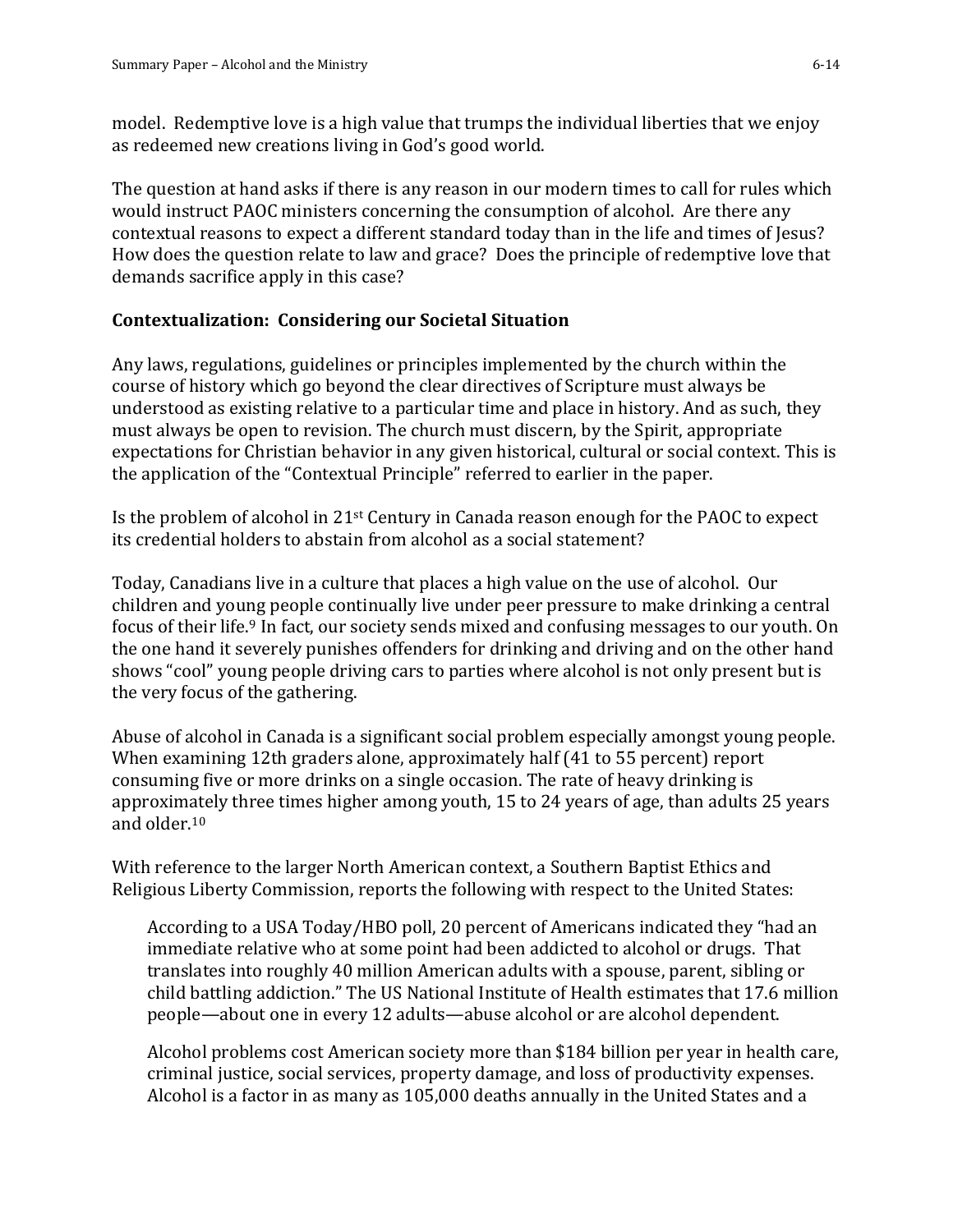model. Redemptive love is a high value that trumps the individual liberties that we enjoy as redeemed new creations living in God's good world.

The question at hand asks if there is any reason in our modern times to call for rules which would instruct PAOC ministers concerning the consumption of alcohol. Are there any contextual reasons to expect a different standard today than in the life and times of Jesus? How does the question relate to law and grace? Does the principle of redemptive love that demands sacrifice apply in this case?

## **Contextualization: Considering our Societal Situation**

Any laws, regulations, guidelines or principles implemented by the church within the course of history which go beyond the clear directives of Scripture must always be understood as existing relative to a particular time and place in history. And as such, they must always be open to revision. The church must discern, by the Spirit, appropriate expectations for Christian behavior in any given historical, cultural or social context. This is the application of the "Contextual Principle" referred to earlier in the paper.

Is the problem of alcohol in 21st Century in Canada reason enough for the PAOC to expect its credential holders to abstain from alcohol as a social statement?

Today, Canadians live in a culture that places a high value on the use of alcohol. Our children and young people continually live under peer pressure to make drinking a central focus of their life.<sup>9</sup> In fact, our society sends mixed and confusing messages to our youth. On the one hand it severely punishes offenders for drinking and driving and on the other hand shows "cool" young people driving cars to parties where alcohol is not only present but is the very focus of the gathering.

Abuse of alcohol in Canada is a significant social problem especially amongst young people. When examining 12th graders alone, approximately half (41 to 55 percent) report consuming five or more drinks on a single occasion. The rate of heavy drinking is approximately three times higher among youth, 15 to 24 years of age, than adults 25 years and older.<sup>10</sup>

With reference to the larger North American context, a Southern Baptist Ethics and Religious Liberty Commission, reports the following with respect to the United States:

According to a USA Today/HBO poll, 20 percent of Americans indicated they "had an immediate relative who at some point had been addicted to alcohol or drugs. That translates into roughly 40 million American adults with a spouse, parent, sibling or child battling addiction." The US National Institute of Health estimates that 17.6 million people—about one in every 12 adults—abuse alcohol or are alcohol dependent.

Alcohol problems cost American society more than \$184 billion per year in health care, criminal justice, social services, property damage, and loss of productivity expenses. Alcohol is a factor in as many as 105,000 deaths annually in the United States and a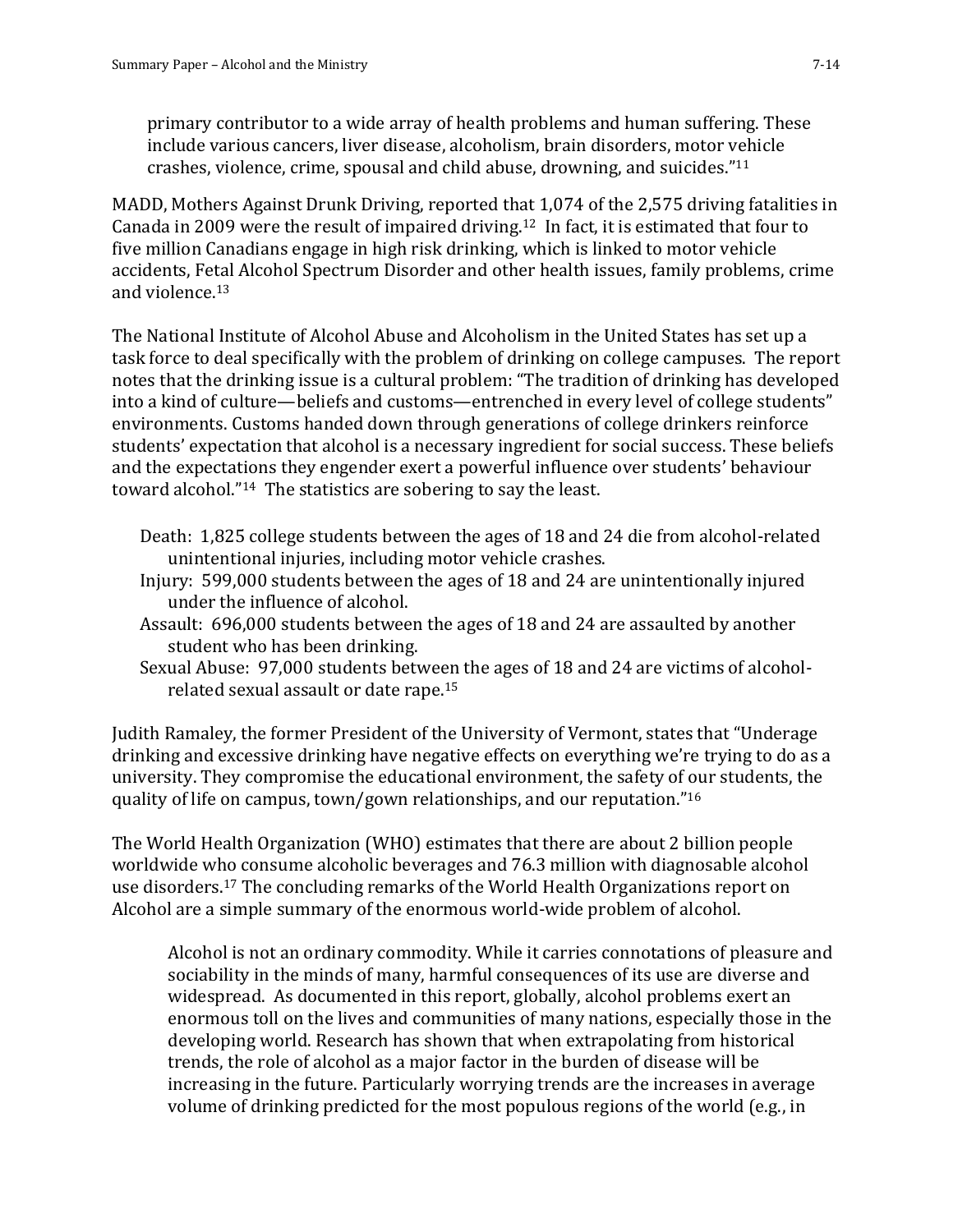primary contributor to a wide array of health problems and human suffering. These include various cancers, liver disease, alcoholism, brain disorders, motor vehicle crashes, violence, crime, spousal and child abuse, drowning, and suicides." 11

MADD, Mothers Against Drunk Driving, reported that 1,074 of the 2,575 driving fatalities in Canada in 2009 were the result of impaired driving.12 In fact, it is estimated that four to five million Canadians engage in high risk drinking, which is linked to motor vehicle accidents, Fetal Alcohol Spectrum Disorder and other health issues, family problems, crime and violence.<sup>13</sup>

The National Institute of Alcohol Abuse and Alcoholism in the United States has set up a task force to deal specifically with the problem of drinking on college campuses. The report notes that the drinking issue is a cultural problem: "The tradition of drinking has developed into a kind of culture—beliefs and customs—entrenched in every level of college students" environments. Customs handed down through generations of college drinkers reinforce students' expectation that alcohol is a necessary ingredient for social success. These beliefs and the expectations they engender exert a powerful influence over students' behaviour toward alcohol." <sup>14</sup> The statistics are sobering to say the least.

- Death: 1,825 college students between the ages of 18 and 24 die from alcohol-related unintentional injuries, including motor vehicle crashes.
- Injury: 599,000 students between the ages of 18 and 24 are unintentionally injured under the influence of alcohol.
- Assault: 696,000 students between the ages of 18 and 24 are assaulted by another student who has been drinking.
- Sexual Abuse: 97,000 students between the ages of 18 and 24 are victims of alcoholrelated sexual assault or date rape.<sup>15</sup>

Judith Ramaley, the former President of the University of Vermont, states that "Underage drinking and excessive drinking have negative effects on everything we're trying to do as a university. They compromise the educational environment, the safety of our students, the quality of life on campus, town/gown relationships, and our reputation." 16

The World Health Organization (WHO) estimates that there are about 2 billion people worldwide who consume alcoholic beverages and 76.3 million with diagnosable alcohol use disorders.<sup>17</sup> The concluding remarks of the World Health Organizations report on Alcohol are a simple summary of the enormous world-wide problem of alcohol.

Alcohol is not an ordinary commodity. While it carries connotations of pleasure and sociability in the minds of many, harmful consequences of its use are diverse and widespread. As documented in this report, globally, alcohol problems exert an enormous toll on the lives and communities of many nations, especially those in the developing world. Research has shown that when extrapolating from historical trends, the role of alcohol as a major factor in the burden of disease will be increasing in the future. Particularly worrying trends are the increases in average volume of drinking predicted for the most populous regions of the world (e.g., in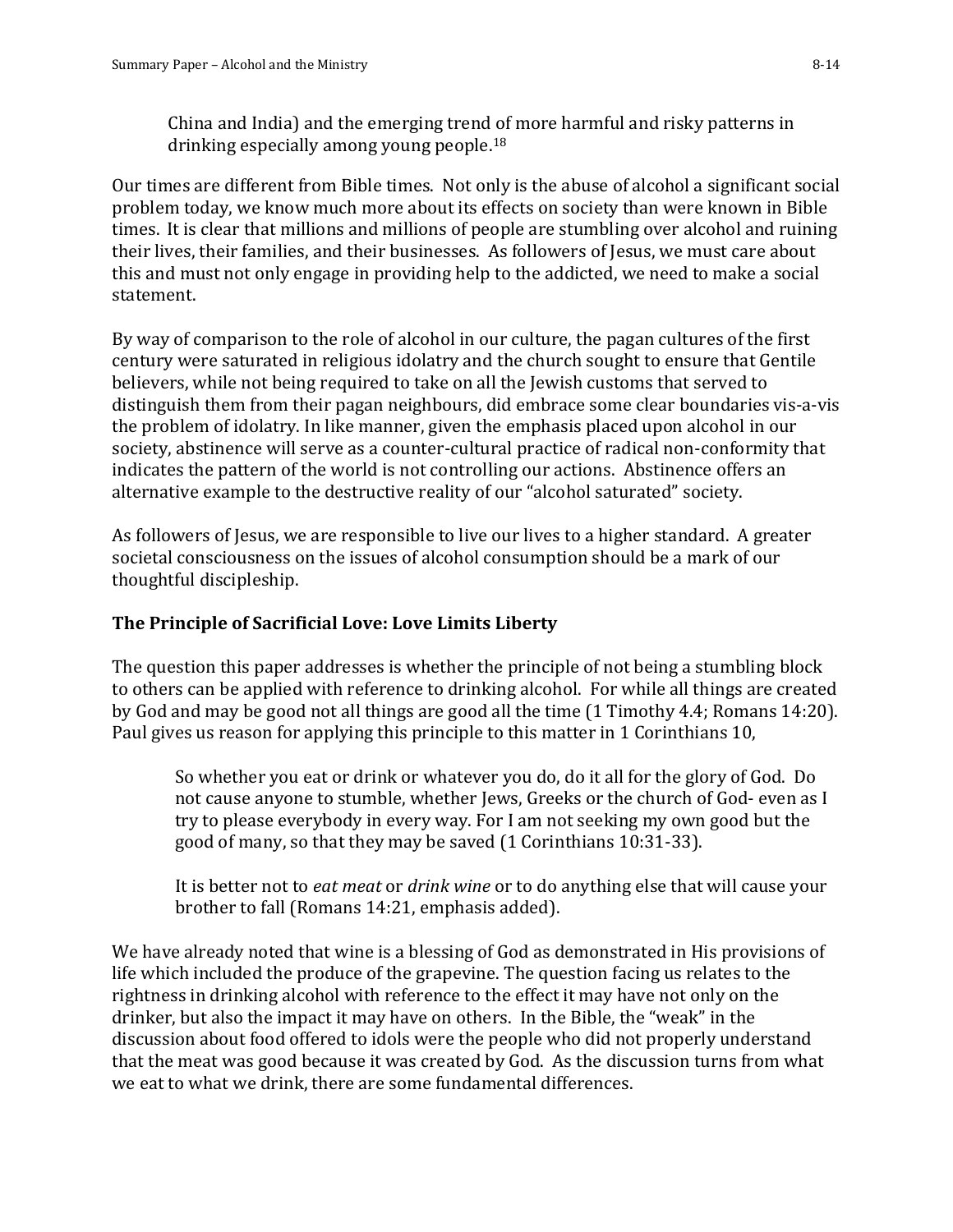China and India) and the emerging trend of more harmful and risky patterns in drinking especially among young people.<sup>18</sup>

Our times are different from Bible times. Not only is the abuse of alcohol a significant social problem today, we know much more about its effects on society than were known in Bible times. It is clear that millions and millions of people are stumbling over alcohol and ruining their lives, their families, and their businesses. As followers of Jesus, we must care about this and must not only engage in providing help to the addicted, we need to make a social statement.

By way of comparison to the role of alcohol in our culture, the pagan cultures of the first century were saturated in religious idolatry and the church sought to ensure that Gentile believers, while not being required to take on all the Jewish customs that served to distinguish them from their pagan neighbours, did embrace some clear boundaries vis-a-vis the problem of idolatry. In like manner, given the emphasis placed upon alcohol in our society, abstinence will serve as a counter-cultural practice of radical non-conformity that indicates the pattern of the world is not controlling our actions. Abstinence offers an alternative example to the destructive reality of our "alcohol saturated" society.

As followers of Jesus, we are responsible to live our lives to a higher standard. A greater societal consciousness on the issues of alcohol consumption should be a mark of our thoughtful discipleship.

#### **The Principle of Sacrificial Love: Love Limits Liberty**

The question this paper addresses is whether the principle of not being a stumbling block to others can be applied with reference to drinking alcohol. For while all things are created by God and may be good not all things are good all the time (1 Timothy 4.4; Romans 14:20). Paul gives us reason for applying this principle to this matter in 1 Corinthians 10,

So whether you eat or drink or whatever you do, do it all for the glory of God. Do not cause anyone to stumble, whether Jews, Greeks or the church of God- even as I try to please everybody in every way. For I am not seeking my own good but the good of many, so that they may be saved (1 Corinthians 10:31-33).

It is better not to *eat meat* or *drink wine* or to do anything else that will cause your brother to fall (Romans 14:21, emphasis added).

We have already noted that wine is a blessing of God as demonstrated in His provisions of life which included the produce of the grapevine. The question facing us relates to the rightness in drinking alcohol with reference to the effect it may have not only on the drinker, but also the impact it may have on others. In the Bible, the "weak" in the discussion about food offered to idols were the people who did not properly understand that the meat was good because it was created by God. As the discussion turns from what we eat to what we drink, there are some fundamental differences.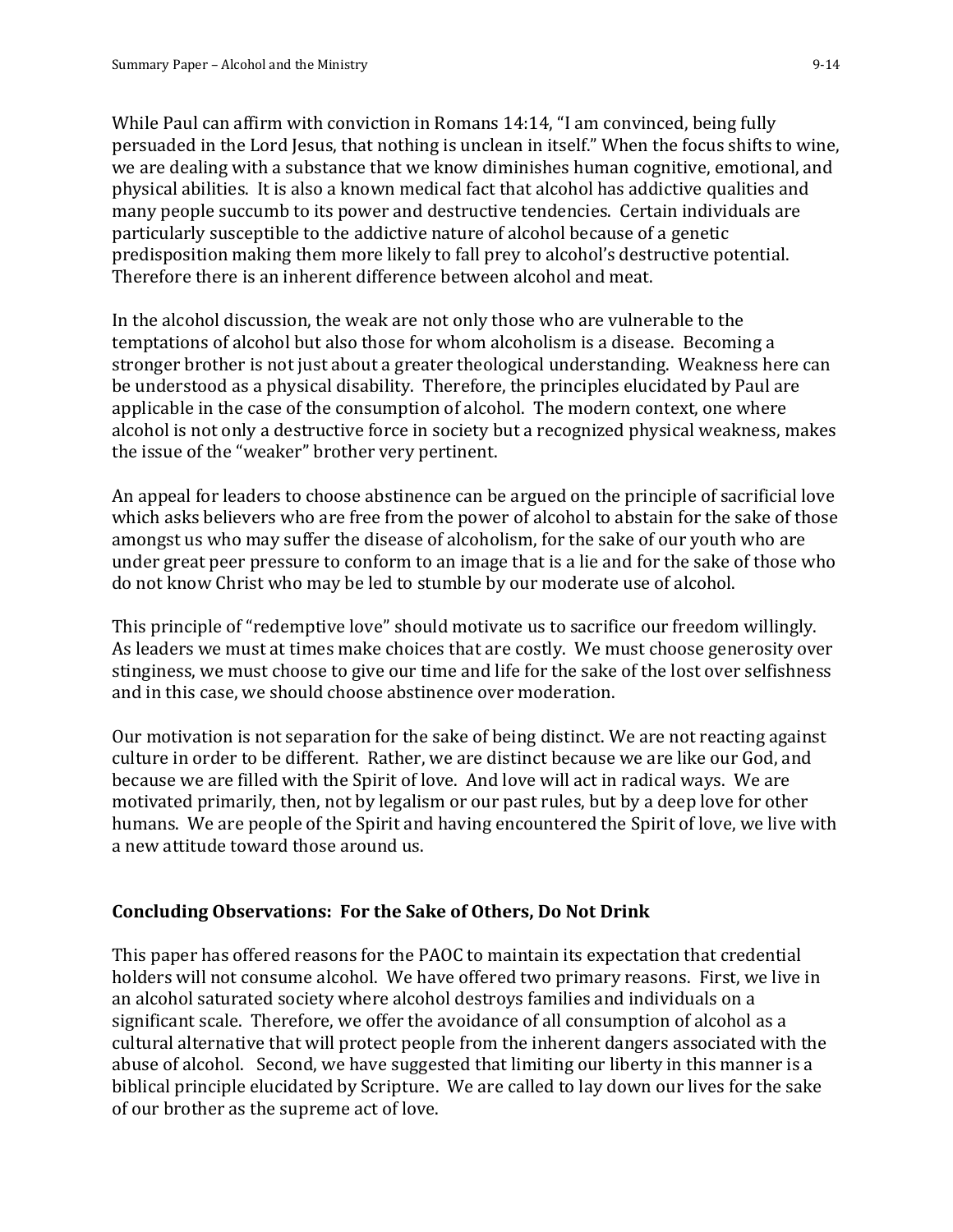While Paul can affirm with conviction in Romans 14:14, "I am convinced, being fully persuaded in the Lord Jesus, that nothing is unclean in itself." When the focus shifts to wine, we are dealing with a substance that we know diminishes human cognitive, emotional, and physical abilities. It is also a known medical fact that alcohol has addictive qualities and many people succumb to its power and destructive tendencies. Certain individuals are particularly susceptible to the addictive nature of alcohol because of a genetic predisposition making them more likely to fall prey to alcohol's destructive potential. Therefore there is an inherent difference between alcohol and meat.

In the alcohol discussion, the weak are not only those who are vulnerable to the temptations of alcohol but also those for whom alcoholism is a disease. Becoming a stronger brother is not just about a greater theological understanding. Weakness here can be understood as a physical disability. Therefore, the principles elucidated by Paul are applicable in the case of the consumption of alcohol. The modern context, one where alcohol is not only a destructive force in society but a recognized physical weakness, makes the issue of the "weaker" brother very pertinent.

An appeal for leaders to choose abstinence can be argued on the principle of sacrificial love which asks believers who are free from the power of alcohol to abstain for the sake of those amongst us who may suffer the disease of alcoholism, for the sake of our youth who are under great peer pressure to conform to an image that is a lie and for the sake of those who do not know Christ who may be led to stumble by our moderate use of alcohol.

This principle of "redemptive love" should motivate us to sacrifice our freedom willingly. As leaders we must at times make choices that are costly. We must choose generosity over stinginess, we must choose to give our time and life for the sake of the lost over selfishness and in this case, we should choose abstinence over moderation.

Our motivation is not separation for the sake of being distinct. We are not reacting against culture in order to be different. Rather, we are distinct because we are like our God, and because we are filled with the Spirit of love. And love will act in radical ways. We are motivated primarily, then, not by legalism or our past rules, but by a deep love for other humans. We are people of the Spirit and having encountered the Spirit of love, we live with a new attitude toward those around us.

## **Concluding Observations: For the Sake of Others, Do Not Drink**

This paper has offered reasons for the PAOC to maintain its expectation that credential holders will not consume alcohol. We have offered two primary reasons. First, we live in an alcohol saturated society where alcohol destroys families and individuals on a significant scale. Therefore, we offer the avoidance of all consumption of alcohol as a cultural alternative that will protect people from the inherent dangers associated with the abuse of alcohol. Second, we have suggested that limiting our liberty in this manner is a biblical principle elucidated by Scripture. We are called to lay down our lives for the sake of our brother as the supreme act of love.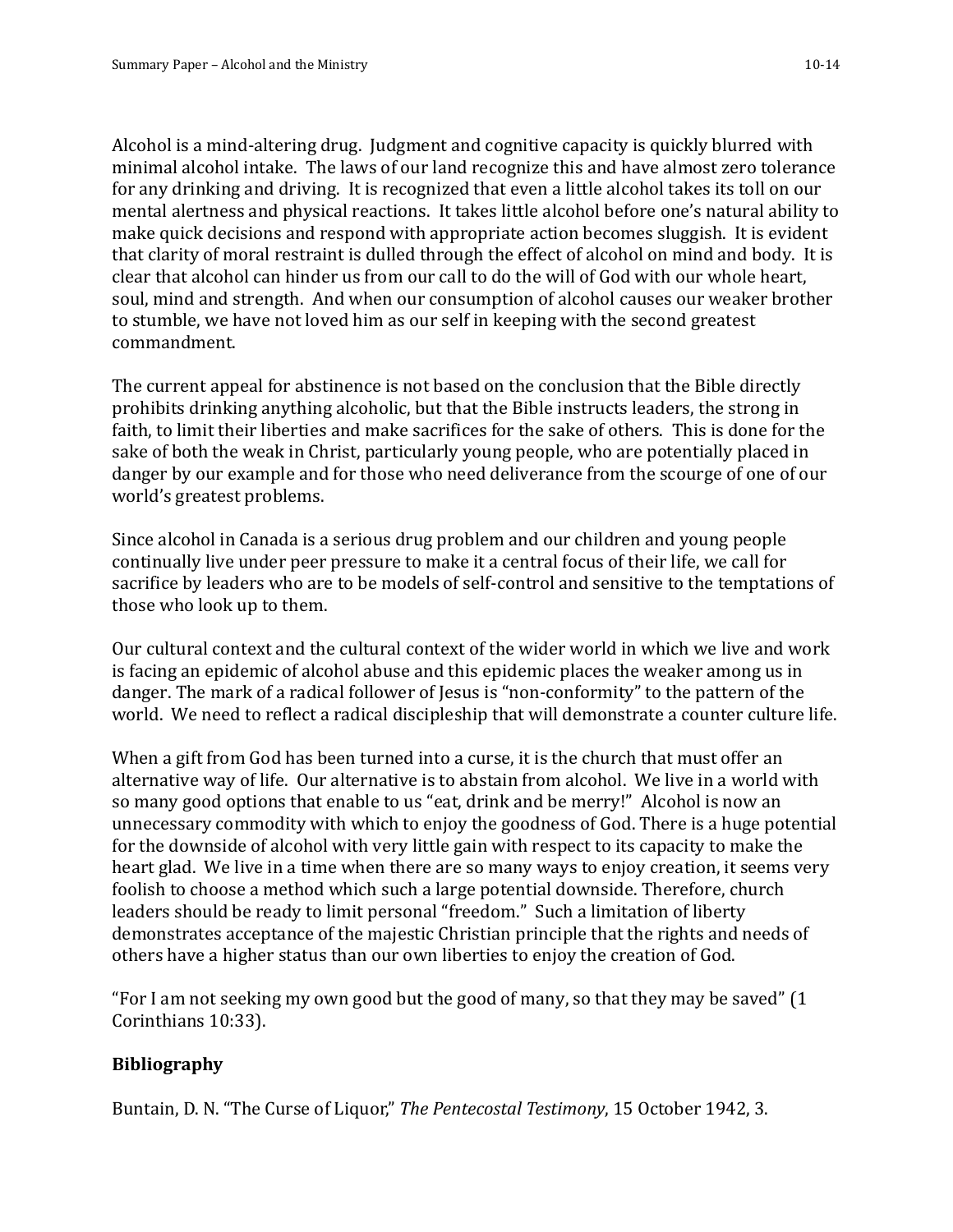Alcohol is a mind-altering drug. Judgment and cognitive capacity is quickly blurred with minimal alcohol intake. The laws of our land recognize this and have almost zero tolerance for any drinking and driving. It is recognized that even a little alcohol takes its toll on our mental alertness and physical reactions. It takes little alcohol before one's natural ability to make quick decisions and respond with appropriate action becomes sluggish. It is evident that clarity of moral restraint is dulled through the effect of alcohol on mind and body. It is clear that alcohol can hinder us from our call to do the will of God with our whole heart, soul, mind and strength. And when our consumption of alcohol causes our weaker brother to stumble, we have not loved him as our self in keeping with the second greatest commandment.

The current appeal for abstinence is not based on the conclusion that the Bible directly prohibits drinking anything alcoholic, but that the Bible instructs leaders, the strong in faith, to limit their liberties and make sacrifices for the sake of others. This is done for the sake of both the weak in Christ, particularly young people, who are potentially placed in danger by our example and for those who need deliverance from the scourge of one of our world's greatest problems.

Since alcohol in Canada is a serious drug problem and our children and young people continually live under peer pressure to make it a central focus of their life, we call for sacrifice by leaders who are to be models of self-control and sensitive to the temptations of those who look up to them.

Our cultural context and the cultural context of the wider world in which we live and work is facing an epidemic of alcohol abuse and this epidemic places the weaker among us in danger. The mark of a radical follower of Jesus is "non-conformity" to the pattern of the world. We need to reflect a radical discipleship that will demonstrate a counter culture life.

When a gift from God has been turned into a curse, it is the church that must offer an alternative way of life. Our alternative is to abstain from alcohol. We live in a world with so many good options that enable to us "eat, drink and be merry!" Alcohol is now an unnecessary commodity with which to enjoy the goodness of God. There is a huge potential for the downside of alcohol with very little gain with respect to its capacity to make the heart glad. We live in a time when there are so many ways to enjoy creation, it seems very foolish to choose a method which such a large potential downside. Therefore, church leaders should be ready to limit personal "freedom." Such a limitation of liberty demonstrates acceptance of the majestic Christian principle that the rights and needs of others have a higher status than our own liberties to enjoy the creation of God.

"For I am not seeking my own good but the good of many, so that they may be saved" (1 Corinthians 10:33).

## **Bibliography**

Buntain, D. N. "The Curse of Liquor," *The Pentecostal Testimony*, 15 October 1942, 3.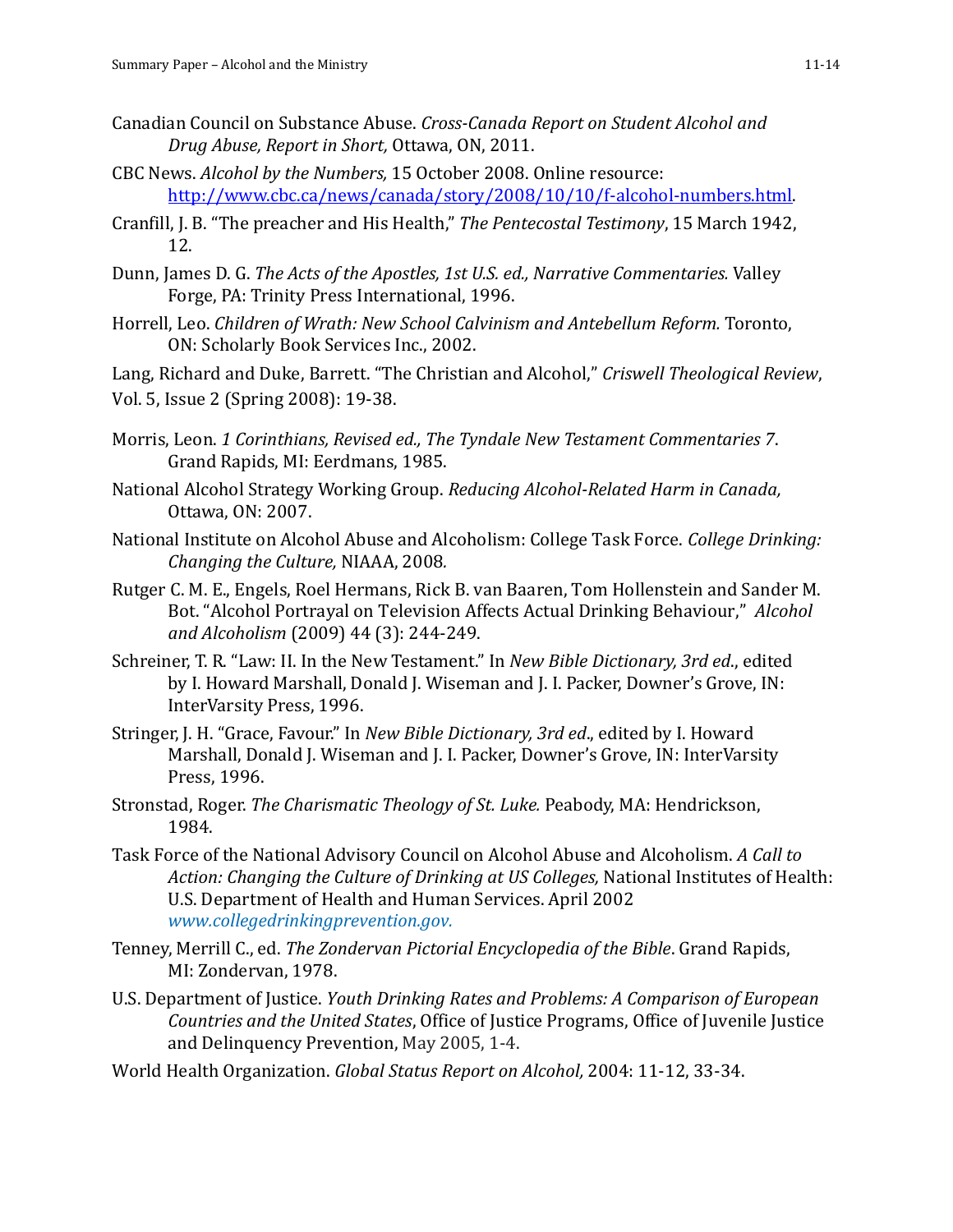- Canadian Council on Substance Abuse. *Cross-Canada Report on Student Alcohol and Drug Abuse, Report in Short,* Ottawa, ON, 2011.
- CBC News. *Alcohol by the Numbers,* 15 October 2008. Online resource: [http://www.cbc.ca/news/canada/story/2008/10/10/f-alcohol-numbers.html.](http://www.cbc.ca/news/canada/story/2008/10/10/f-alcohol-numbers.html)
- Cranfill, J. B. "The preacher and His Health," *The Pentecostal Testimony*, 15 March 1942, 12.
- Dunn, James D. G. *The Acts of the Apostles, 1st U.S. ed., Narrative Commentaries.* Valley Forge, PA: Trinity Press International, 1996.
- Horrell, Leo. *Children of Wrath: New School Calvinism and Antebellum Reform.* Toronto, ON: Scholarly Book Services Inc., 2002.

Lang, Richard and Duke, Barrett. "The Christian and Alcohol," *Criswell Theological Review*, Vol. 5, Issue 2 (Spring 2008): 19-38.

- Morris, Leon. *1 Corinthians, Revised ed., The Tyndale New Testament Commentaries 7*. Grand Rapids, MI: Eerdmans, 1985.
- National Alcohol Strategy Working Group. *Reducing Alcohol-Related Harm in Canada,* Ottawa, ON: 2007.
- National Institute on Alcohol Abuse and Alcoholism: College Task Force. *College Drinking: Changing the Culture,* NIAAA, 2008*.*
- Rutger C. M. E., Engels, Roel Hermans, Rick B. van Baaren, Tom Hollenstein and Sander M. Bot. "Alcohol Portrayal on Television Affects Actual Drinking Behaviour," *Alcohol and Alcoholism* (2009) 44 (3): 244-249.
- Schreiner, T. R. "Law: II. In the New Testament." In *New Bible Dictionary, 3rd ed*., edited by I. Howard Marshall, Donald J. Wiseman and J. I. Packer, Downer's Grove, IN: InterVarsity Press, 1996.
- Stringer, J. H. "Grace, Favour." In *New Bible Dictionary, 3rd ed*., edited by I. Howard Marshall, Donald J. Wiseman and J. I. Packer, Downer's Grove, IN: InterVarsity Press, 1996.
- Stronstad, Roger. *The Charismatic Theology of St. Luke.* Peabody, MA: Hendrickson, 1984.
- Task Force of the National Advisory Council on Alcohol Abuse and Alcoholism. *A Call to Action: Changing the Culture of Drinking at US Colleges,* National Institutes of Health: U.S. Department of Health and Human Services. April 2002 *www.collegedrinkingprevention.gov.*
- Tenney, Merrill C., ed. *The Zondervan Pictorial Encyclopedia of the Bible*. Grand Rapids, MI: Zondervan, 1978.
- U.S. Department of Justice. *Youth Drinking Rates and Problems: A Comparison of European Countries and the United States*, Office of Justice Programs, Office of Juvenile Justice and Delinquency Prevention, May 2005, 1-4.
- World Health Organization. *Global Status Report on Alcohol,* 2004: 11-12, 33-34.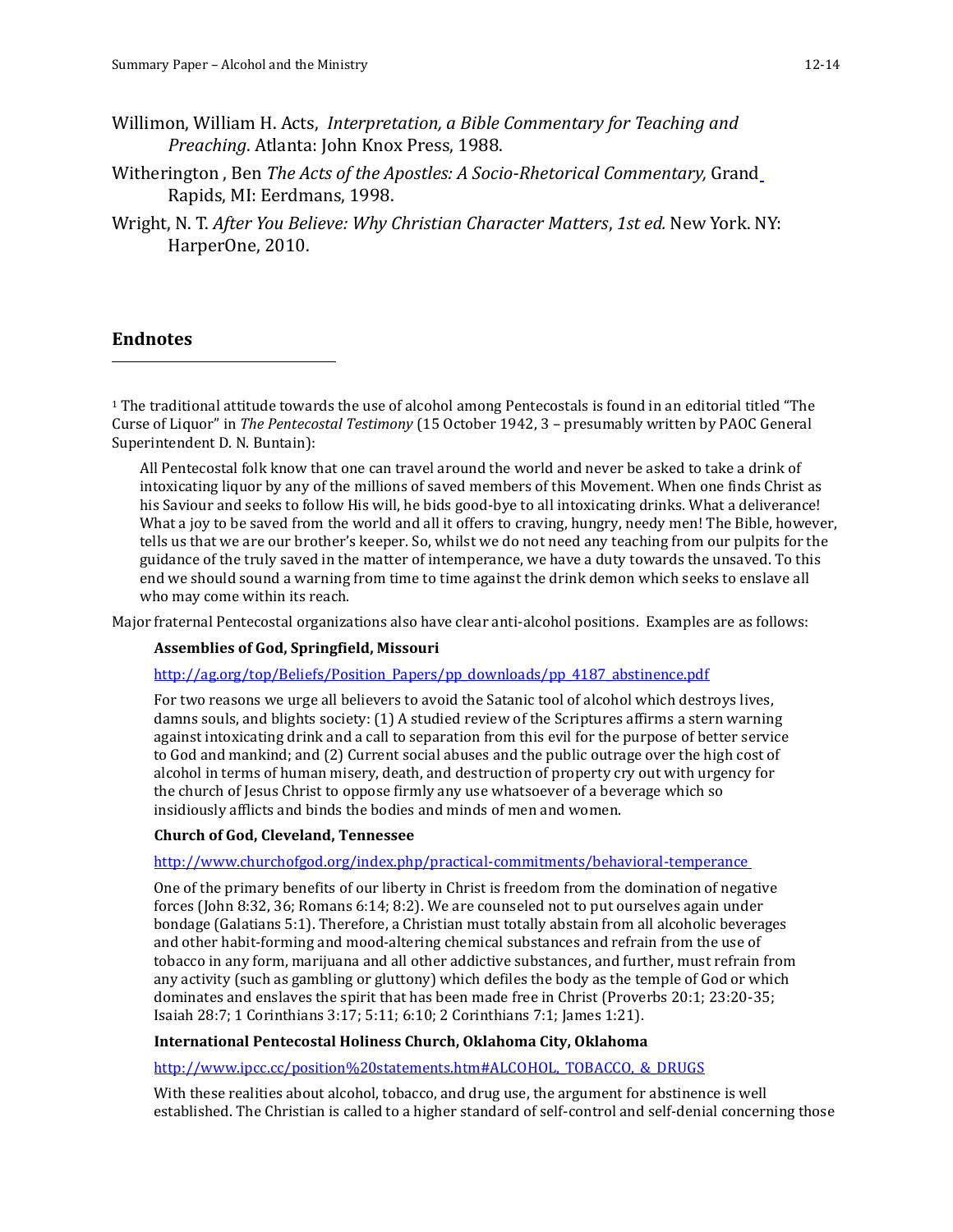- Willimon, William H. Acts, *Interpretation, a Bible Commentary for Teaching and Preaching*. Atlanta: John Knox Press, 1988.
- Witherington , Ben *The Acts of the Apostles: A Socio-Rhetorical Commentary,* Grand Rapids, MI: Eerdmans, 1998.
- Wright, N. T. *After You Believe: Why Christian Character Matters*, *1st ed.* New York. NY: HarperOne, 2010.

#### **Endnotes**

 $\overline{\phantom{a}}$ 

<sup>1</sup> The traditional attitude towards the use of alcohol among Pentecostals is found in an editorial titled "The Curse of Liquor" in *The Pentecostal Testimony* (15 October 1942, 3 – presumably written by PAOC General Superintendent D. N. Buntain):

All Pentecostal folk know that one can travel around the world and never be asked to take a drink of intoxicating liquor by any of the millions of saved members of this Movement. When one finds Christ as his Saviour and seeks to follow His will, he bids good-bye to all intoxicating drinks. What a deliverance! What a joy to be saved from the world and all it offers to craving, hungry, needy men! The Bible, however, tells us that we are our brother's keeper. So, whilst we do not need any teaching from our pulpits for the guidance of the truly saved in the matter of intemperance, we have a duty towards the unsaved. To this end we should sound a warning from time to time against the drink demon which seeks to enslave all who may come within its reach.

Major fraternal Pentecostal organizations also have clear anti-alcohol positions. Examples are as follows:

#### **Assemblies of God, Springfield, Missouri**

http://ag.org/top/Beliefs/Position\_Papers/pp\_downloads/pp\_4187\_abstinence.pdf

For two reasons we urge all believers to avoid the Satanic tool of alcohol which destroys lives, damns souls, and blights society: (1) A studied review of the Scriptures affirms a stern warning against intoxicating drink and a call to separation from this evil for the purpose of better service to God and mankind; and (2) Current social abuses and the public outrage over the high cost of alcohol in terms of human misery, death, and destruction of property cry out with urgency for the church of Jesus Christ to oppose firmly any use whatsoever of a beverage which so insidiously afflicts and binds the bodies and minds of men and women.

#### **Church of God, Cleveland, Tennessee**

http://www.churchofgod.org/index.php/practical-commitments/behavioral-temperance

One of the primary benefits of our liberty in Christ is freedom from the domination of negative forces (John 8:32, 36; Romans 6:14; 8:2). We are counseled not to put ourselves again under bondage (Galatians 5:1). Therefore, a Christian must totally abstain from all alcoholic beverages and other habit-forming and mood-altering chemical substances and refrain from the use of tobacco in any form, marijuana and all other addictive substances, and further, must refrain from any activity (such as gambling or gluttony) which defiles the body as the temple of God or which dominates and enslaves the spirit that has been made free in Christ (Proverbs 20:1; 23:20-35; Isaiah 28:7; 1 Corinthians 3:17; 5:11; 6:10; 2 Corinthians 7:1; James 1:21).

#### **International Pentecostal Holiness Church, Oklahoma City, Oklahoma**

http://www.ipcc.cc/position%20statements.htm#ALCOHOL,\_TOBACCO, &\_DRUGS

With these realities about alcohol, tobacco, and drug use, the argument for abstinence is well established. The Christian is called to a higher standard of self-control and self-denial concerning those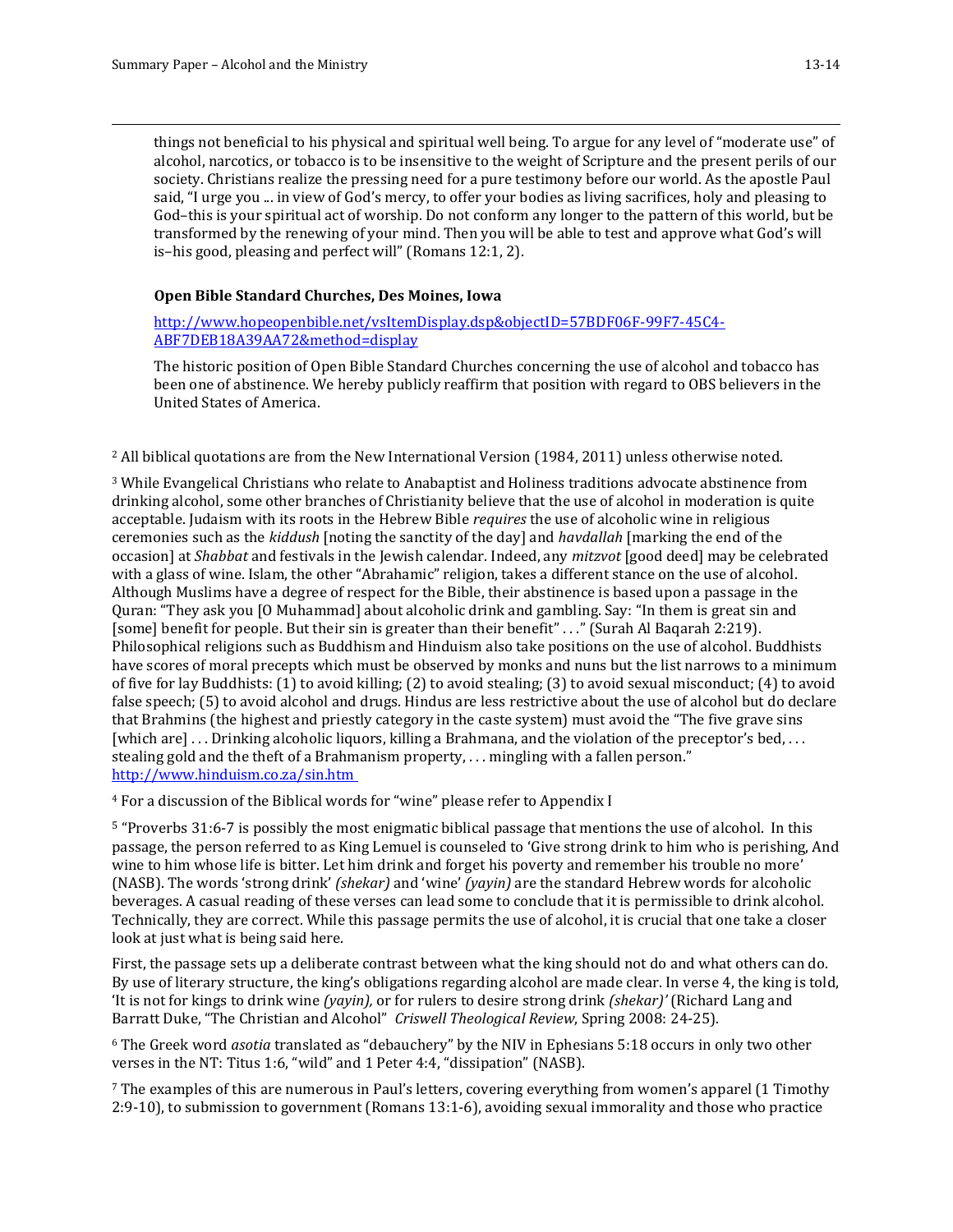$\overline{\phantom{a}}$ 

things not beneficial to his physical and spiritual well being. To argue for any level of "moderate use" of alcohol, narcotics, or tobacco is to be insensitive to the weight of Scripture and the present perils of our society. Christians realize the pressing need for a pure testimony before our world. As the apostle Paul said, "I urge you ... in view of God's mercy, to offer your bodies as living sacrifices, holy and pleasing to God–this is your spiritual act of worship. Do not conform any longer to the pattern of this world, but be transformed by the renewing of your mind. Then you will be able to test and approve what God's will is–his good, pleasing and perfect will" (Romans 12:1, 2).

#### **Open Bible Standard Churches, Des Moines, Iowa**

http://www.hopeopenbible.net/vsItemDisplay.dsp&objectID=57BDF06F-99F7-45C4- ABF7DEB18A39AA72&method=display

The historic position of Open Bible Standard Churches concerning the use of alcohol and tobacco has been one of abstinence. We hereby publicly reaffirm that position with regard to OBS believers in the United States of America.

<sup>2</sup> All biblical quotations are from the New International Version (1984, 2011) unless otherwise noted.

<sup>3</sup> While Evangelical Christians who relate to Anabaptist and Holiness traditions advocate abstinence from drinking alcohol, some other branches of Christianity believe that the use of alcohol in moderation is quite acceptable. Judaism with its roots in the Hebrew Bible *requires* the use of alcoholic wine in religious ceremonies such as the *kiddush* [noting the sanctity of the day] and *havdallah* [marking the end of the occasion] at *Shabbat* and festivals in the Jewish calendar. Indeed, any *mitzvot* [good deed] may be celebrated with a glass of wine. Islam, the other "Abrahamic" religion, takes a different stance on the use of alcohol. Although Muslims have a degree of respect for the Bible, their abstinence is based upon a passage in the Quran: "They ask you [O Muhammad] about alcoholic drink and gambling. Say: "In them is great sin and [some] benefit for people. But their sin is greater than their benefit" . . ." (Surah Al Baqarah 2:219). Philosophical religions such as Buddhism and Hinduism also take positions on the use of alcohol. Buddhists have scores of moral precepts which must be observed by monks and nuns but the list narrows to a minimum of five for lay Buddhists: (1) to avoid killing; (2) to avoid stealing; (3) to avoid sexual misconduct; (4) to avoid false speech; (5) to avoid alcohol and drugs. Hindus are less restrictive about the use of alcohol but do declare that Brahmins (the highest and priestly category in the caste system) must avoid the "The five grave sins [which are] . . . Drinking alcoholic liquors, killing a Brahmana, and the violation of the preceptor's bed, . . . stealing gold and the theft of a Brahmanism property, . . . mingling with a fallen person." <http://www.hinduism.co.za/sin.htm>

<sup>4</sup> For a discussion of the Biblical words for "wine" please refer to Appendix I

<sup>5</sup> "Proverbs 31:6-7 is possibly the most enigmatic biblical passage that mentions the use of alcohol. In this passage, the person referred to as King Lemuel is counseled to 'Give strong drink to him who is perishing, And wine to him whose life is bitter. Let him drink and forget his poverty and remember his trouble no more' (NASB). The words 'strong drink' *(shekar)* and 'wine' *(yayin)* are the standard Hebrew words for alcoholic beverages. A casual reading of these verses can lead some to conclude that it is permissible to drink alcohol. Technically, they are correct. While this passage permits the use of alcohol, it is crucial that one take a closer look at just what is being said here.

First, the passage sets up a deliberate contrast between what the king should not do and what others can do. By use of literary structure, the king's obligations regarding alcohol are made clear. In verse 4, the king is told, 'It is not for kings to drink wine *(yayin),* or for rulers to desire strong drink *(shekar)'* (Richard Lang and Barratt Duke, "The Christian and Alcohol" *Criswell Theological Review*, Spring 2008: 24-25).

<sup>6</sup> The Greek word *asotia* translated as "debauchery" by the NIV in Ephesians 5:18 occurs in only two other verses in the NT: Titus 1:6, "wild" and 1 Peter 4:4, "dissipation" (NASB).

<sup>7</sup> The examples of this are numerous in Paul's letters, covering everything from women's apparel (1 Timothy 2:9-10), to submission to government (Romans 13:1-6), avoiding sexual immorality and those who practice